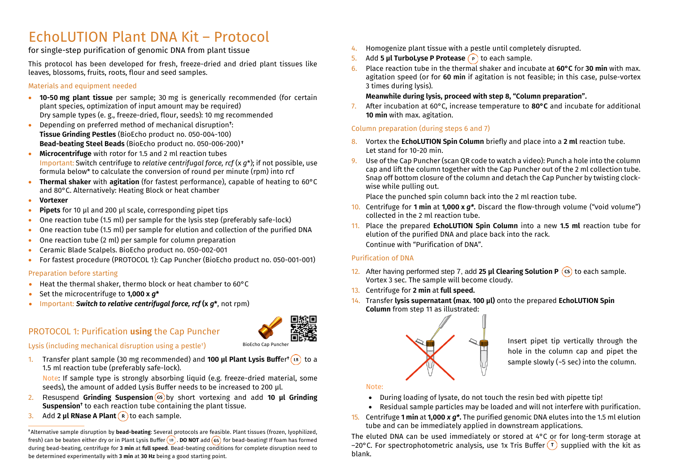# EchoLUTION Plant DNA Kit – Protocol

for single-step purification of genomic DNA from plant tissue

This protocol has been developed for fresh, freeze-dried and dried plant tissues like leaves, blossoms, fruits, roots, flour and seed samples.

#### Materials and equipment needed

- **10-50 mg plant tissue** per sample; 30 mg is generically recommended (for certain plant species, optimization of input amount may be required) Dry sample types (e. g., freeze-dried, flour, seeds): 10 mg recommended
- Depending on preferred method of mechanical disruption**†** : **Tissue Grinding Pestles** (BioEcho product no. 050-004-100) **Bead-beating Steel Beads** (BioEcho product no. 050-006-200) **†**
- **Microcentrifuge** with rotor for 1.5 and 2 ml reaction tubes Important: Switch centrifuge to *relative centrifugal force, rcf* (x *g*\*); if not possible, use formula below\* to calculate the conversion of round per minute (rpm) into rcf
- **Thermal shaker** with **agitation** (for fastest performance), capable of heating to 60°C and 80°C. Alternatively: Heating Block or heat chamber
- **Vortexer**
- **Pipets** for 10 µl and 200 µl scale, corresponding pipet tips
- One reaction tube (1.5 ml) per sample for the lysis step (preferably safe-lock)
- One reaction tube (1.5 ml) per sample for elution and collection of the purified DNA
- One reaction tube (2 ml) per sample for column preparation
- Ceramic Blade Scalpels. BioEcho product no. 050-002-001
- For fastest procedure (PROTOCOL 1): Cap Puncher (BioEcho product no. 050-001-001)

#### Preparation before starting

- Heat the thermal shaker, thermo block or heat chamber to 60°C
- Set the microcentrifuge to **1,000 x** *g***\***
- Important: *Switch to relative centrifugal force, rcf* **(x** *g***\***, not rpm)

# PROTOCOL 1: Purification **using** the Cap Puncher



Lysis (including mechanical disruption using a pestle† )

1. Transfer plant sample (30 mg recommended) and **100 µl Plant Lysis Buff**er**†** to a 1.5 ml reaction tube (preferably safe-lock).

Note: If sample type is strongly absorbing liquid (e.g. freeze-dried material, some seeds), the amount of added Lysis Buffer needs to be increased to 200 µl.

- 2. Resuspend **Grinding Suspension** (GS) by short vortexing and add 10 **ul Grinding Suspension†** to each reaction tube containing the plant tissue.
- 3. Add 2 **µl RNase A Plant** (R) to each sample.

**†** Alternative sample disruption by **bead-beating**: Several protocols are feasible. Plant tissues (frozen, lyophilized, fresh) can be beaten either dry or in Plant Lysis Buffer (18). DO NOT add (65) for bead-beating! If foam has formed during bead-beating, centrifuge for **3 min** at **full speed**. Bead-beating conditions for complete disruption need to be determined experimentally with **3 min** at **30 Hz** being a good starting point.

- 4. Homogenize plant tissue with a pestle until completely disrupted.
- **5.** Add **5 µl TurboLyse P Protease**  $\binom{P}{r}$  to each sample.
- 6. Place reaction tube in the thermal shaker and incubate at **60°C** for **30 min** with max. agitation speed (or for 60 min if agitation is not feasible; in this case, pulse-vortex 3 times during lysis).

#### **Meanwhile during lysis, proceed with step 8, "Column preparation".**

7. After incubation at 60°C, increase temperature to **80°C** and incubate for additional **10 min** with max. agitation.

#### Column preparation (during steps 6 and 7)

- 8. Vortex the **EchoLUTION Spin Column** briefly and place into a **2 ml** reaction tube. Let stand for 10-20 min.
- 9. Use of the Cap Puncher (scan QR code to watch a video): Punch a hole into the column cap and lift the column together with the Cap Puncher out of the 2 ml collection tube. Snap off bottom closure of the column and detach the Cap Puncher by twisting clockwise while pulling out.

Place the punched spin column back into the 2 ml reaction tube.

- 10. Centrifuge for **1 min** at **1,000 x** *g\****.** Discard the flow-through volume ("void volume") collected in the 2 ml reaction tube.
- 11. Place the prepared **EchoLUTION Spin Column** into a new **1.5 ml** reaction tube for elution of the purified DNA and place back into the rack. Continue with "Purification of DNA".

#### Purification of DNA

- 12. After having performed step 7, add 25 **µl Clearing Solution P** (cs) to each sample. Vortex 3 sec. The sample will become cloudy.
- 13. Centrifuge for **2 min** at **full speed.**
- 14. Transfer **lysis supernatant (max. 100 µl)** onto the prepared **EchoLUTION Spin Column** from step 11 as illustrated:



BioEcho Cap Puncher **Inter-20** hole in the column cap and pipet the sample slowly ( $-5$  sec) into the column.

#### Note:

- During loading of lysate, do not touch the resin bed with pipette tip!
- Residual sample particles may be loaded and will not interfere with purification.
- 15. Centrifuge **1 min** at **1,000** *x g\****.** The purified genomic DNA elutes into the 1.5 ml elution tube and can be immediately applied in downstream applications.

The eluted DNA can be used immediately or stored at 4°C or for long-term storage at –20°C. For spectrophotometric analysis, use 1x Tris Buffer  $(\tau)$  supplied with the kit as blank.